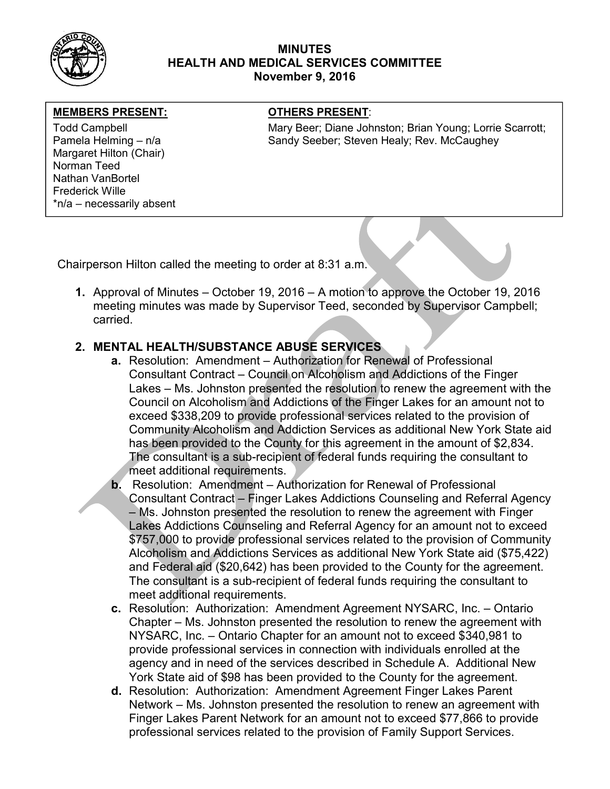

### MINUTES HEALTH AND MEDICAL SERVICES COMMITTEE November 9, 2016

### MEMBERS PRESENT: **The OTHERS PRESENT:**

Margaret Hilton (Chair) Norman Teed Nathan VanBortel Frederick Wille \*n/a – necessarily absent

Todd Campbell **Mary Beer; Diane Johnston; Brian Young**; Lorrie Scarrott; Pamela Helming – n/a Sandy Seeber; Steven Healy; Rev. McCaughey

Chairperson Hilton called the meeting to order at 8:31 a.m.

1. Approval of Minutes – October 19, 2016 – A motion to approve the October 19, 2016 meeting minutes was made by Supervisor Teed, seconded by Supervisor Campbell; carried.

# 2. MENTAL HEALTH/SUBSTANCE ABUSE SERVICES

- a. Resolution: Amendment Authorization for Renewal of Professional Consultant Contract – Council on Alcoholism and Addictions of the Finger Lakes – Ms. Johnston presented the resolution to renew the agreement with the Council on Alcoholism and Addictions of the Finger Lakes for an amount not to exceed \$338,209 to provide professional services related to the provision of Community Alcoholism and Addiction Services as additional New York State aid has been provided to the County for this agreement in the amount of \$2,834. The consultant is a sub-recipient of federal funds requiring the consultant to meet additional requirements.
- b. Resolution: Amendment Authorization for Renewal of Professional Consultant Contract – Finger Lakes Addictions Counseling and Referral Agency – Ms. Johnston presented the resolution to renew the agreement with Finger Lakes Addictions Counseling and Referral Agency for an amount not to exceed \$757,000 to provide professional services related to the provision of Community Alcoholism and Addictions Services as additional New York State aid (\$75,422) and Federal aid (\$20,642) has been provided to the County for the agreement. The consultant is a sub-recipient of federal funds requiring the consultant to meet additional requirements.
- c. Resolution: Authorization: Amendment Agreement NYSARC, Inc. Ontario Chapter – Ms. Johnston presented the resolution to renew the agreement with NYSARC, Inc. – Ontario Chapter for an amount not to exceed \$340,981 to provide professional services in connection with individuals enrolled at the agency and in need of the services described in Schedule A. Additional New York State aid of \$98 has been provided to the County for the agreement.
- d. Resolution: Authorization: Amendment Agreement Finger Lakes Parent Network – Ms. Johnston presented the resolution to renew an agreement with Finger Lakes Parent Network for an amount not to exceed \$77,866 to provide professional services related to the provision of Family Support Services.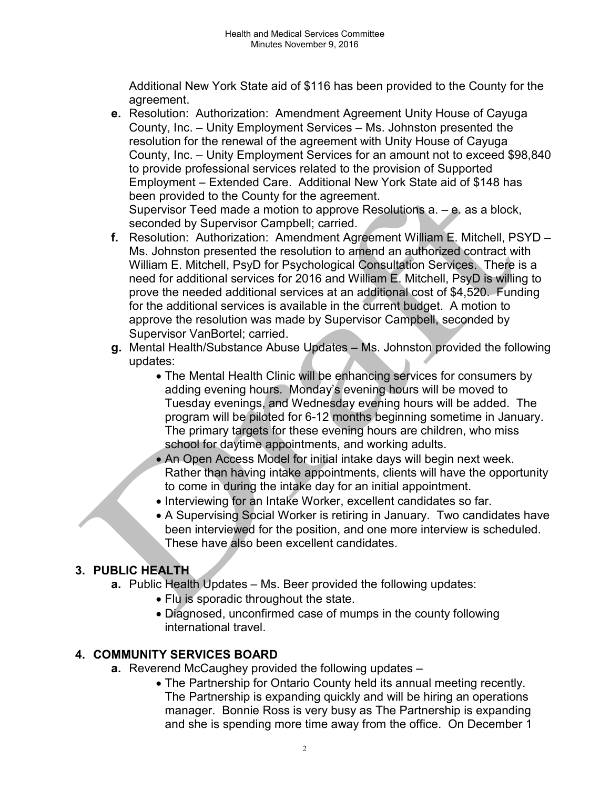Additional New York State aid of \$116 has been provided to the County for the agreement.

- e. Resolution: Authorization: Amendment Agreement Unity House of Cayuga County, Inc. – Unity Employment Services – Ms. Johnston presented the resolution for the renewal of the agreement with Unity House of Cayuga County, Inc. – Unity Employment Services for an amount not to exceed \$98,840 to provide professional services related to the provision of Supported Employment – Extended Care. Additional New York State aid of \$148 has been provided to the County for the agreement. Supervisor Teed made a motion to approve Resolutions a. – e. as a block, seconded by Supervisor Campbell; carried.
- f. Resolution: Authorization: Amendment Agreement William E. Mitchell, PSYD Ms. Johnston presented the resolution to amend an authorized contract with William E. Mitchell, PsyD for Psychological Consultation Services. There is a need for additional services for 2016 and William E. Mitchell, PsyD is willing to prove the needed additional services at an additional cost of \$4,520. Funding for the additional services is available in the current budget. A motion to approve the resolution was made by Supervisor Campbell, seconded by Supervisor VanBortel; carried.
- g. Mental Health/Substance Abuse Updates Ms. Johnston provided the following updates:
	- The Mental Health Clinic will be enhancing services for consumers by adding evening hours. Monday's evening hours will be moved to Tuesday evenings, and Wednesday evening hours will be added. The program will be piloted for 6-12 months beginning sometime in January. The primary targets for these evening hours are children, who miss school for daytime appointments, and working adults.
	- An Open Access Model for initial intake days will begin next week. Rather than having intake appointments, clients will have the opportunity to come in during the intake day for an initial appointment.
	- Interviewing for an Intake Worker, excellent candidates so far.
	- A Supervising Social Worker is retiring in January. Two candidates have been interviewed for the position, and one more interview is scheduled. These have also been excellent candidates.

# 3. PUBLIC HEALTH

- a. Public Health Updates Ms. Beer provided the following updates:
	- Flu is sporadic throughout the state.
	- Diagnosed, unconfirmed case of mumps in the county following international travel.

## 4. COMMUNITY SERVICES BOARD

- a. Reverend McCaughey provided the following updates -
	- The Partnership for Ontario County held its annual meeting recently. The Partnership is expanding quickly and will be hiring an operations manager. Bonnie Ross is very busy as The Partnership is expanding and she is spending more time away from the office. On December 1